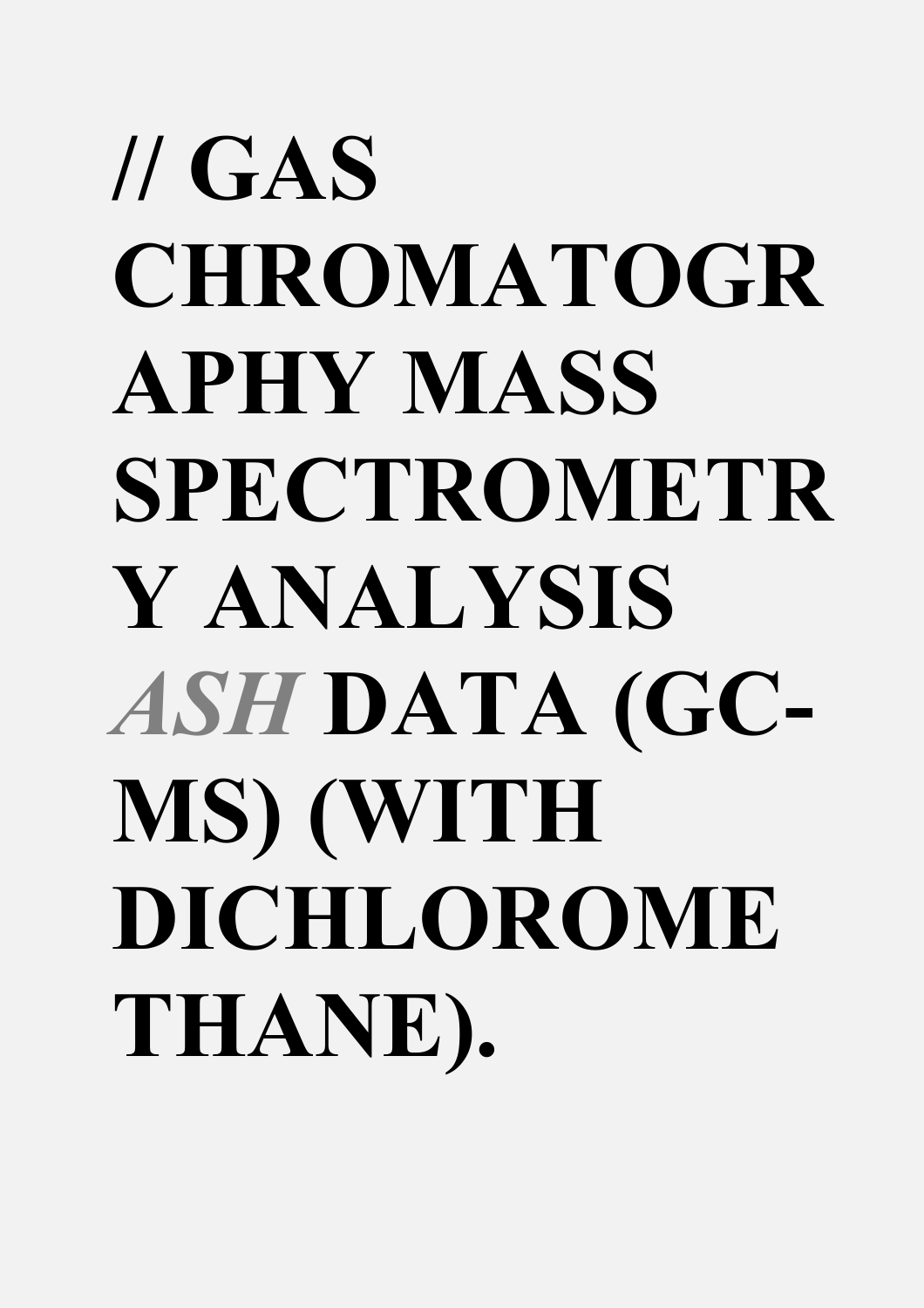## **// GAS CHROMATOGR APHY MASS SPECTROMETR Y ANALYSIS**  *ASH* **DATA (GC-MS) (WITH DICHLOROME THANE).**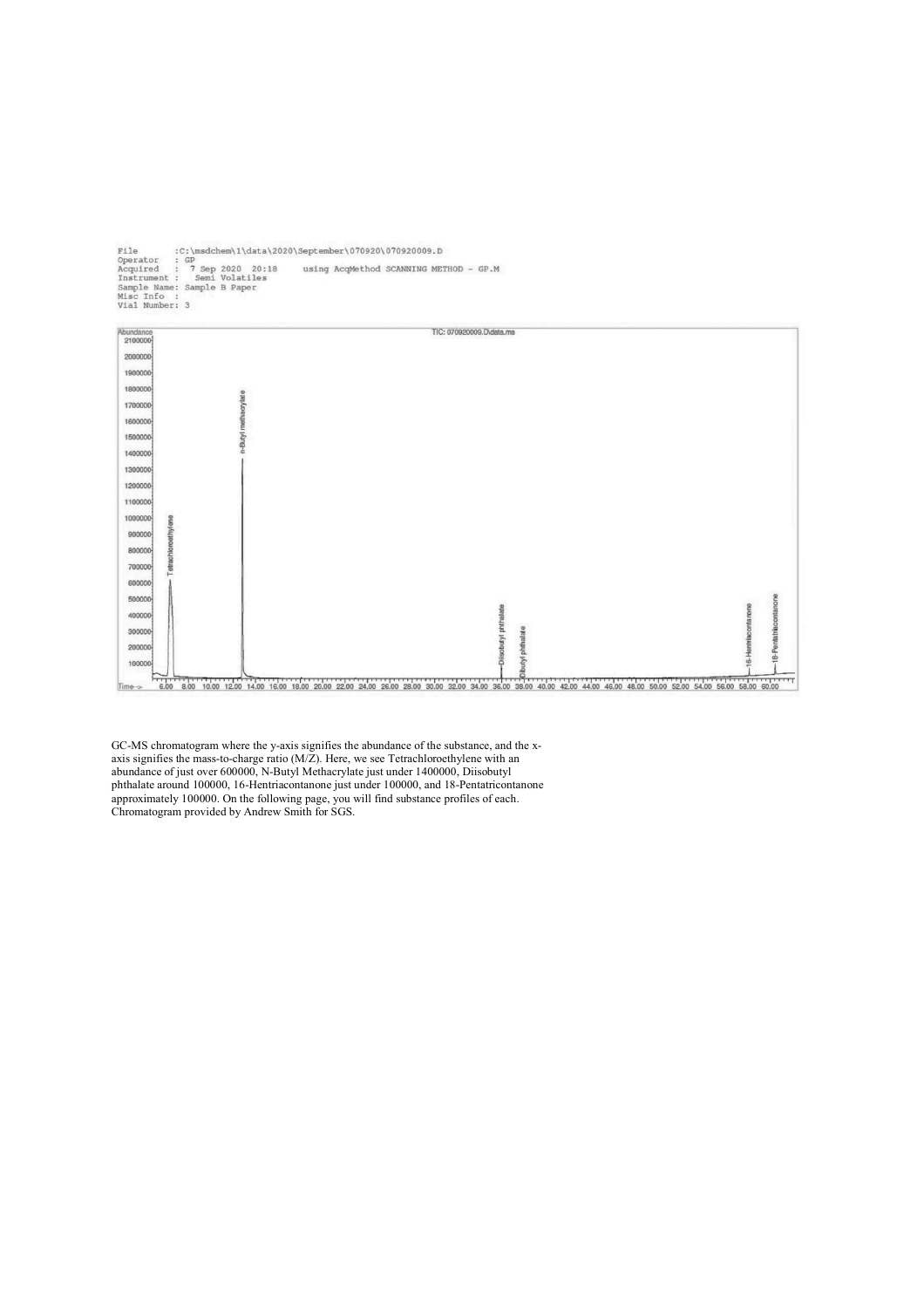File :C:\msdchem\1\data\2020\September\070920\070920009.D<br>Operator : GP<br>Acquired : 7 Sep 2020 20:18 using AcqMethod SCANNING MEI<br>Instrument : Semi Volatiles<br>Sample Name: Sample B Paper<br>Misc Info :<br>Vial Number: 3 using AcqMethod SCANNING METHOD - GP.M



GC-MS chromatogram where the y-axis signifies the abundance of the substance, and the xaxis signifies the mass-to-charge ratio  $(M/Z)$ . Here, we see Tetrachloroethylene with an abundance of just over 600000, N-Butyl Methacrylate just under 1400000, Diisobutyl phthalate around 100000, 16-Hentriacontanone just under 100000, and 18-Pentatricontanone approximately 100000. On the following page, you will find substance profiles of each. Chromatogram provided by Andrew Smith for SGS.